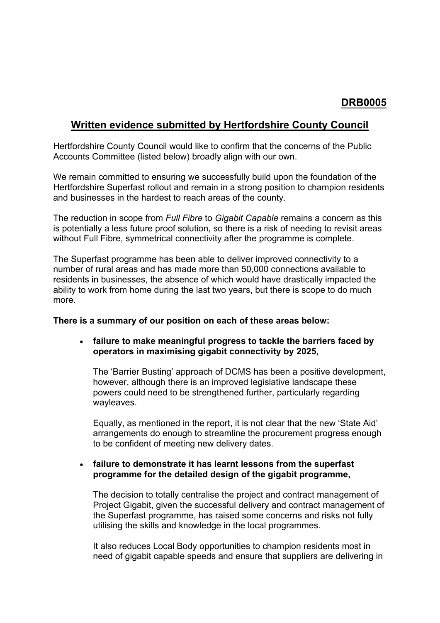# **DRB0005**

## **Written evidence submitted by Hertfordshire County Council**

Hertfordshire County Council would like to confirm that the concerns of the Public Accounts Committee (listed below) broadly align with our own.

We remain committed to ensuring we successfully build upon the foundation of the Hertfordshire Superfast rollout and remain in a strong position to champion residents and businesses in the hardest to reach areas of the county.

The reduction in scope from *Full Fibre* to *Gigabit Capable* remains a concern as this is potentially a less future proof solution, so there is a risk of needing to revisit areas without Full Fibre, symmetrical connectivity after the programme is complete.

The Superfast programme has been able to deliver improved connectivity to a number of rural areas and has made more than 50,000 connections available to residents in businesses, the absence of which would have drastically impacted the ability to work from home during the last two years, but there is scope to do much more.

#### **There is a summary of our position on each of these areas below:**

## **failure to make meaningful progress to tackle the barriers faced by operators in maximising gigabit connectivity by 2025,**

The 'Barrier Busting' approach of DCMS has been a positive development, however, although there is an improved legislative landscape these powers could need to be strengthened further, particularly regarding wayleaves.

Equally, as mentioned in the report, it is not clear that the new 'State Aid' arrangements do enough to streamline the procurement progress enough to be confident of meeting new delivery dates.

## **failure to demonstrate it has learnt lessons from the superfast programme for the detailed design of the gigabit programme,**

The decision to totally centralise the project and contract management of Project Gigabit, given the successful delivery and contract management of the Superfast programme, has raised some concerns and risks not fully utilising the skills and knowledge in the local programmes.

It also reduces Local Body opportunities to champion residents most in need of gigabit capable speeds and ensure that suppliers are delivering in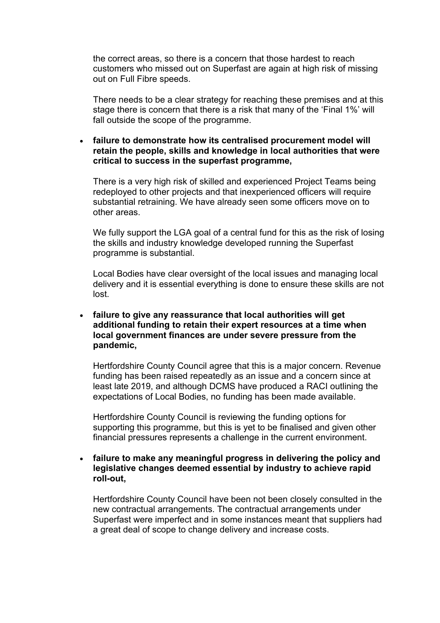the correct areas, so there is a concern that those hardest to reach customers who missed out on Superfast are again at high risk of missing out on Full Fibre speeds.

There needs to be a clear strategy for reaching these premises and at this stage there is concern that there is a risk that many of the 'Final 1%' will fall outside the scope of the programme.

### **failure to demonstrate how its centralised procurement model will retain the people, skills and knowledge in local authorities that were critical to success in the superfast programme,**

There is a very high risk of skilled and experienced Project Teams being redeployed to other projects and that inexperienced officers will require substantial retraining. We have already seen some officers move on to other areas.

We fully support the LGA goal of a central fund for this as the risk of losing the skills and industry knowledge developed running the Superfast programme is substantial.

Local Bodies have clear oversight of the local issues and managing local delivery and it is essential everything is done to ensure these skills are not lost.

### **failure to give any reassurance that local authorities will get additional funding to retain their expert resources at a time when local government finances are under severe pressure from the pandemic,**

Hertfordshire County Council agree that this is a major concern. Revenue funding has been raised repeatedly as an issue and a concern since at least late 2019, and although DCMS have produced a RACI outlining the expectations of Local Bodies, no funding has been made available.

Hertfordshire County Council is reviewing the funding options for supporting this programme, but this is yet to be finalised and given other financial pressures represents a challenge in the current environment.

### **failure to make any meaningful progress in delivering the policy and legislative changes deemed essential by industry to achieve rapid roll-out,**

Hertfordshire County Council have been not been closely consulted in the new contractual arrangements. The contractual arrangements under Superfast were imperfect and in some instances meant that suppliers had a great deal of scope to change delivery and increase costs.